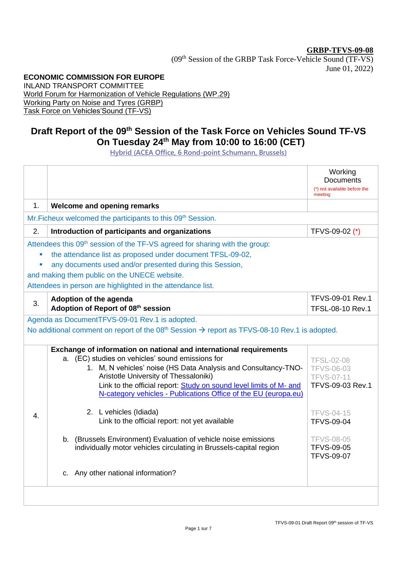#### **GRBP-TFVS-09-08**

(09<sup>th</sup> Session of the GRBP Task Force-Vehicle Sound (TF-VS) June 01, 2022)

# **ECONOMIC COMMISSION FOR EUROPE**

INLAND TRANSPORT COMMITTEE World Forum for Harmonization of Vehicle Regulations (WP.29) Working Party on Noise and Tyres (GRBP) Task Force on Vehicles'Sound (TF-VS)

# **Draft Report of the 09<sup>th</sup> Session of the Task Force on Vehicles Sound TF-VS On Tuesday 24 th May from 10:00 to 16:00 (CET)**

**[Hybrid \(ACEA Office, 6 Rond-point Schumann, Brussels\)](https://teams.microsoft.com/l/meetup-join/19%3ameeting_YzJjMjg4MDAtZmRiZS00ZDQ5LTg1ZmItYzUzMzMwMTViMzdm%40thread.v2/0?context=%7b%22Tid%22%3a%22d6b0bbee-7cd9-4d60-bce6-4a67b543e2ae%22%2c%22Oid%22%3a%229b2f7d13-6e6c-485f-a676-8e66e17b2b5a%22%7d)**

|                                                                                                            |                                                                                                             | Working<br><b>Documents</b><br>(*) not available before the |  |  |
|------------------------------------------------------------------------------------------------------------|-------------------------------------------------------------------------------------------------------------|-------------------------------------------------------------|--|--|
|                                                                                                            |                                                                                                             | meeting                                                     |  |  |
| 1 <sub>1</sub>                                                                                             | Welcome and opening remarks                                                                                 |                                                             |  |  |
|                                                                                                            | Mr. Ficheux welcomed the participants to this 09th Session.                                                 |                                                             |  |  |
| 2.                                                                                                         | Introduction of participants and organizations                                                              | TFVS-09-02 (*)                                              |  |  |
| Attendees this 09 <sup>th</sup> session of the TF-VS agreed for sharing with the group:                    |                                                                                                             |                                                             |  |  |
| the attendance list as proposed under document TFSL-09-02,                                                 |                                                                                                             |                                                             |  |  |
|                                                                                                            | any documents used and/or presented during this Session,                                                    |                                                             |  |  |
| and making them public on the UNECE website.                                                               |                                                                                                             |                                                             |  |  |
| Attendees in person are highlighted in the attendance list.                                                |                                                                                                             |                                                             |  |  |
| 3.                                                                                                         | Adoption of the agenda                                                                                      | <b>TFVS-09-01 Rev.1</b>                                     |  |  |
|                                                                                                            | Adoption of Report of 08th session                                                                          | <b>TFSL-08-10 Rev.1</b>                                     |  |  |
| Agenda as DocumentTFVS-09-01 Rev.1 is adopted.                                                             |                                                                                                             |                                                             |  |  |
| No additional comment on report of the $08th$ Session $\rightarrow$ report as TFVS-08-10 Rev.1 is adopted. |                                                                                                             |                                                             |  |  |
|                                                                                                            | Exchange of information on national and international requirements                                          |                                                             |  |  |
|                                                                                                            | a. (EC) studies on vehicles' sound emissions for                                                            | <b>TFSL-02-08</b>                                           |  |  |
|                                                                                                            | 1. M, N vehicles' noise (HS Data Analysis and Consultancy-TNO-                                              | <b>TFVS-06-03</b>                                           |  |  |
|                                                                                                            | Aristotle University of Thessaloniki)<br>Link to the official report: Study on sound level limits of M- and | <b>TFVS-07-11</b><br>TFVS-09-03 Rev.1                       |  |  |
|                                                                                                            | N-category vehicles - Publications Office of the EU (europa.eu)                                             |                                                             |  |  |
|                                                                                                            |                                                                                                             |                                                             |  |  |
| 4.                                                                                                         | 2. L vehicles (Idiada)                                                                                      | <b>TFVS-04-15</b>                                           |  |  |
|                                                                                                            | Link to the official report: not yet available                                                              | <b>TFVS-09-04</b>                                           |  |  |
|                                                                                                            | b. (Brussels Environment) Evaluation of vehicle noise emissions                                             | <b>TFVS-08-05</b>                                           |  |  |
|                                                                                                            | individually motor vehicles circulating in Brussels-capital region                                          | <b>TFVS-09-05</b>                                           |  |  |
|                                                                                                            |                                                                                                             | <b>TFVS-09-07</b>                                           |  |  |
|                                                                                                            | c. Any other national information?                                                                          |                                                             |  |  |
|                                                                                                            |                                                                                                             |                                                             |  |  |
|                                                                                                            |                                                                                                             |                                                             |  |  |
|                                                                                                            |                                                                                                             |                                                             |  |  |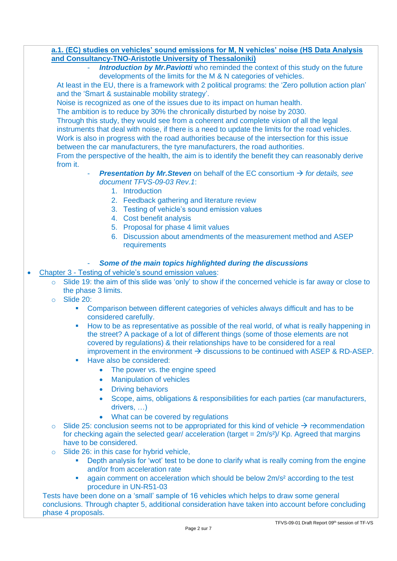### **a.1. (EC) studies on vehicles' sound emissions for M, N vehicles' noise (HS Data Analysis and Consultancy-TNO-Aristotle University of Thessaloniki)**

**Introduction by Mr. Paviotti** who reminded the context of this study on the future developments of the limits for the M & N categories of vehicles.

At least in the EU, there is a framework with 2 political programs: the 'Zero pollution action plan' and the 'Smart & sustainable mobility strategy'.

Noise is recognized as one of the issues due to its impact on human health.

The ambition is to reduce by 30% the chronically disturbed by noise by 2030.

Through this study, they would see from a coherent and complete vision of all the legal instruments that deal with noise, if there is a need to update the limits for the road vehicles. Work is also in progress with the road authorities because of the intersection for this issue between the car manufacturers, the tyre manufacturers, the road authorities.

From the perspective of the health, the aim is to identify the benefit they can reasonably derive from it.

- *Presentation by Mr.Steven* on behalf of the EC consortium → *for details, see document TFVS-09-03 Rev.1*:
	- 1. Introduction
	- 2. Feedback gathering and literature review
	- 3. Testing of vehicle's sound emission values
	- 4. Cost benefit analysis
	- 5. Proposal for phase 4 limit values
	- 6. Discussion about amendments of the measurement method and ASEP requirements

## - *Some of the main topics highlighted during the discussions*

- Chapter 3 Testing of vehicle's sound emission values:
	- o Slide 19: the aim of this slide was 'only' to show if the concerned vehicle is far away or close to the phase 3 limits.
	- o Slide 20:
		- Comparison between different categories of vehicles always difficult and has to be considered carefully.
		- How to be as representative as possible of the real world, of what is really happening in the street? A package of a lot of different things (some of those elements are not covered by regulations) & their relationships have to be considered for a real improvement in the environment  $\rightarrow$  discussions to be continued with ASEP & RD-ASEP.
		- Have also be considered:
			- The power vs. the engine speed
			- Manipulation of vehicles
			- Driving behaviors
			- Scope, aims, obligations & responsibilities for each parties (car manufacturers, drivers, …)
			- What can be covered by regulations
	- $\circ$  Slide 25: conclusion seems not to be appropriated for this kind of vehicle  $\rightarrow$  recommendation for checking again the selected gear/ acceleration (target  $= 2m/s<sup>2</sup>$ )/ Kp. Agreed that margins have to be considered.
	- o Slide 26: in this case for hybrid vehicle,
		- **•** Depth analysis for 'wot' test to be done to clarify what is really coming from the engine and/or from acceleration rate
		- **E** again comment on acceleration which should be below 2m/s<sup>2</sup> according to the test procedure in UN-R51-03

Tests have been done on a 'small' sample of 16 vehicles which helps to draw some general conclusions. Through chapter 5, additional consideration have taken into account before concluding phase 4 proposals.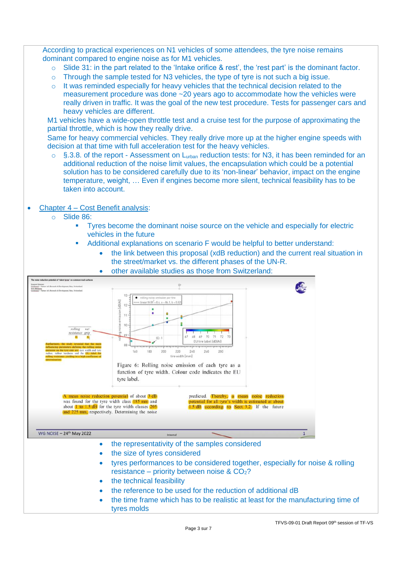According to practical experiences on N1 vehicles of some attendees, the tyre noise remains dominant compared to engine noise as for M1 vehicles.

- o Slide 31: in the part related to the 'Intake orifice & rest', the 'rest part' is the dominant factor.
- $\circ$  Through the sample tested for N3 vehicles, the type of tyre is not such a big issue.
- o It was reminded especially for heavy vehicles that the technical decision related to the measurement procedure was done ~20 years ago to accommodate how the vehicles were really driven in traffic. It was the goal of the new test procedure. Tests for passenger cars and heavy vehicles are different.

M1 vehicles have a wide-open throttle test and a cruise test for the purpose of approximating the partial throttle, which is how they really drive.

Same for heavy commercial vehicles. They really drive more up at the higher engine speeds with decision at that time with full acceleration test for the heavy vehicles.

 $\circ$  §.3.8. of the report - Assessment on L<sub>urban</sub> reduction tests: for N3, it has been reminded for an additional reduction of the noise limit values, the encapsulation which could be a potential solution has to be considered carefully due to its 'non-linear' behavior, impact on the engine temperature, weight, … Even if engines become more silent, technical feasibility has to be taken into account.

#### • Chapter 4 – Cost Benefit analysis:

- o Slide 86:
	- Tyres become the dominant noise source on the vehicle and especially for electric vehicles in the future
	- Additional explanations on scenario F would be helpful to better understand:
		- the link between this proposal (xdB reduction) and the current real situation in the street/market vs. the different phases of the UN-R.



• other available studies as those from Switzerland:

- the size of tyres considered
- tyres performances to be considered together, especially for noise & rolling resistance – priority between noise &  $CO<sub>2</sub>$ ?
- the technical feasibility
- the reference to be used for the reduction of additional dB
- the time frame which has to be realistic at least for the manufacturing time of tyres molds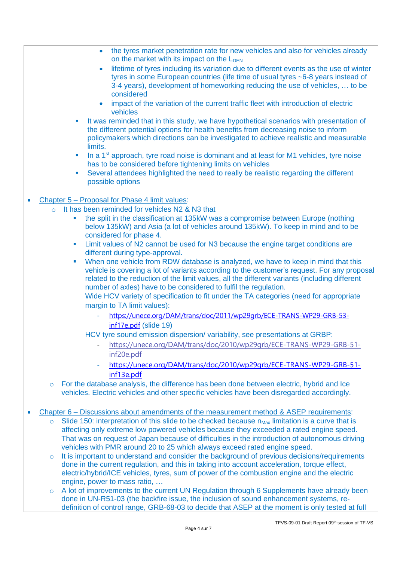- the tyres market penetration rate for new vehicles and also for vehicles already on the market with its impact on the  $L_{DEN}$
- lifetime of tyres including its variation due to different events as the use of winter tyres in some European countries (life time of usual tyres ~6-8 years instead of 3-4 years), development of homeworking reducing the use of vehicles, … to be considered
- impact of the variation of the current traffic fleet with introduction of electric vehicles
- It was reminded that in this study, we have hypothetical scenarios with presentation of the different potential options for health benefits from decreasing noise to inform policymakers which directions can be investigated to achieve realistic and measurable limits.
- **•** In a 1<sup>st</sup> approach, tyre road noise is dominant and at least for M1 vehicles, tyre noise has to be considered before tightening limits on vehicles
- Several attendees highlighted the need to really be realistic regarding the different possible options

#### • Chapter 5 – Proposal for Phase 4 limit values:

- It has been reminded for vehicles N2 & N3 that
	- the split in the classification at 135kW was a compromise between Europe (nothing below 135kW) and Asia (a lot of vehicles around 135kW). To keep in mind and to be considered for phase 4.
	- Limit values of N2 cannot be used for N3 because the engine target conditions are different during type-approval.
	- When one vehicle from RDW database is analyzed, we have to keep in mind that this vehicle is covering a lot of variants according to the customer's request. For any proposal related to the reduction of the limit values, all the different variants (including different number of axles) have to be considered to fulfil the regulation.

Wide HCV variety of specification to fit under the TA categories (need for appropriate margin to TA limit values):

- [https://unece.org/DAM/trans/doc/2011/wp29grb/ECE-TRANS-WP29-GRB-53](https://unece.org/DAM/trans/doc/2011/wp29grb/ECE-TRANS-WP29-GRB-53-inf17e.pdf) [inf17e.pdf](https://unece.org/DAM/trans/doc/2011/wp29grb/ECE-TRANS-WP29-GRB-53-inf17e.pdf) (slide 19)

## HCV tyre sound emission dispersion/ variability, see presentations at GRBP:

- [https://unece.org/DAM/trans/doc/2010/wp29grb/ECE-TRANS-WP29-GRB-51](https://unece.org/DAM/trans/doc/2010/wp29grb/ECE-TRANS-WP29-GRB-51-inf20e.pdf) [inf20e.pdf](https://unece.org/DAM/trans/doc/2010/wp29grb/ECE-TRANS-WP29-GRB-51-inf20e.pdf)
- [https://unece.org/DAM/trans/doc/2010/wp29grb/ECE-TRANS-WP29-GRB-51](https://unece.org/DAM/trans/doc/2010/wp29grb/ECE-TRANS-WP29-GRB-51-inf13e.pdf) [inf13e.pdf](https://unece.org/DAM/trans/doc/2010/wp29grb/ECE-TRANS-WP29-GRB-51-inf13e.pdf)
- o For the database analysis, the difference has been done between electric, hybrid and Ice vehicles. Electric vehicles and other specific vehicles have been disregarded accordingly.
- Chapter 6 Discussions about amendments of the measurement method & ASEP requirements:
	- o Slide 150: interpretation of this slide to be checked because  $n_{\text{Max}}$  limitation is a curve that is affecting only extreme low powered vehicles because they exceeded a rated engine speed. That was on request of Japan because of difficulties in the introduction of autonomous driving vehicles with PMR around 20 to 25 which always exceed rated engine speed.
	- It is important to understand and consider the background of previous decisions/requirements done in the current regulation, and this in taking into account acceleration, torque effect, electric/hybrid/ICE vehicles, tyres, sum of power of the combustion engine and the electric engine, power to mass ratio, …
	- o A lot of improvements to the current UN Regulation through 6 Supplements have already been done in UN-R51-03 (the backfire issue, the inclusion of sound enhancement systems, redefinition of control range, GRB-68-03 to decide that ASEP at the moment is only tested at full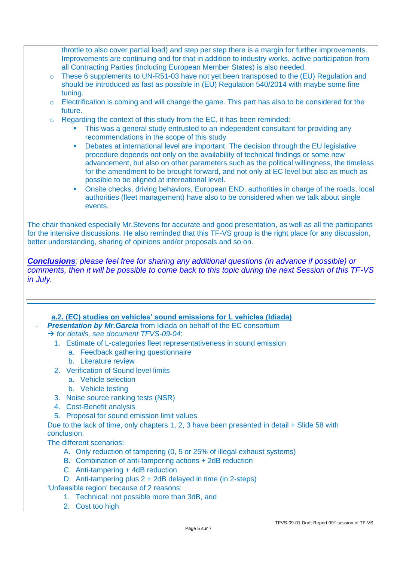throttle to also cover partial load) and step per step there is a margin for further improvements. Improvements are continuing and for that in addition to industry works, active participation from all Contracting Parties (including European Member States) is also needed.

- o These 6 supplements to UN-R51-03 have not yet been transposed to the (EU) Regulation and should be introduced as fast as possible in (EU) Regulation 540/2014 with maybe some fine tuning.
- $\circ$  Electrification is coming and will change the game. This part has also to be considered for the future.
- o Regarding the context of this study from the EC, it has been reminded:
	- This was a general study entrusted to an independent consultant for providing any recommendations in the scope of this study
	- Debates at international level are important. The decision through the EU legislative procedure depends not only on the availability of technical findings or some new advancement, but also on other parameters such as the political willingness, the timeless for the amendment to be brought forward, and not only at EC level but also as much as possible to be aligned at international level.
	- Onsite checks, driving behaviors, European END, authorities in charge of the roads, local authorities (fleet management) have also to be considered when we talk about single events.

The chair thanked especially Mr.Stevens for accurate and good presentation, as well as all the participants for the intensive discussions. He also reminded that this TF-VS group is the right place for any discussion, better understanding, sharing of opinions and/or proposals and so on.

*Conclusions: please feel free for sharing any additional questions (in advance if possible) or comments, then it will be possible to come back to this topic during the next Session of this TF-VS in July.*

**a.2. (EC) studies on vehicles' sound emissions for L vehicles (Idiada)** 

**Presentation by Mr. Garcia** from Idiada on behalf of the EC consortium → *for details, see document TFVS-09-04*:

- 1. Estimate of L-categories fleet representativeness in sound emission
	- a. Feedback gathering questionnaire
	- b. Literature review
- 2. Verification of Sound level limits
	- a. Vehicle selection
	- b. Vehicle testing
- 3. Noise source ranking tests (NSR)
- 4. Cost-Benefit analysis
- 5. Proposal for sound emission limit values

Due to the lack of time, only chapters 1, 2, 3 have been presented in detail + Slide 58 with conclusion.

The different scenarios:

- A. Only reduction of tampering (0, 5 or 25% of illegal exhaust systems)
- B. Combination of anti-tampering actions + 2dB reduction
- C. Anti-tampering + 4dB reduction
- D. Anti-tampering plus 2 + 2dB delayed in time (in 2-steps)

'Unfeasible region' because of 2 reasons:

- 1. Technical: not possible more than 3dB, and
- 2. Cost too high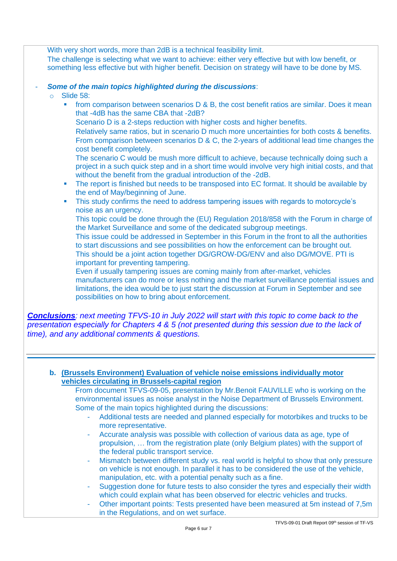With very short words, more than 2dB is a technical feasibility limit.

The challenge is selecting what we want to achieve: either very effective but with low benefit, or something less effective but with higher benefit. Decision on strategy will have to be done by MS.

### - *Some of the main topics highlighted during the discussions*:

- o Slide 58:
	- **•** from comparison between scenarios D & B, the cost benefit ratios are similar. Does it mean that -4dB has the same CBA that -2dB?
		- Scenario D is a 2-steps reduction with higher costs and higher benefits.

Relatively same ratios, but in scenario D much more uncertainties for both costs & benefits. From comparison between scenarios D & C, the 2-years of additional lead time changes the cost benefit completely.

The scenario C would be mush more difficult to achieve, because technically doing such a project in a such quick step and in a short time would involve very high initial costs, and that without the benefit from the gradual introduction of the -2dB.

- The report is finished but needs to be transposed into EC format. It should be available by the end of May/beginning of June.
- **·** This study confirms the need to address tampering issues with regards to motorcycle's noise as an urgency.

This topic could be done through the (EU) Regulation 2018/858 with the Forum in charge of the Market Surveillance and some of the dedicated subgroup meetings.

This issue could be addressed in September in this Forum in the front to all the authorities to start discussions and see possibilities on how the enforcement can be brought out. This should be a joint action together DG/GROW-DG/ENV and also DG/MOVE. PTI is important for preventing tampering.

Even if usually tampering issues are coming mainly from after-market, vehicles manufacturers can do more or less nothing and the market surveillance potential issues and limitations, the idea would be to just start the discussion at Forum in September and see possibilities on how to bring about enforcement.

*Conclusions: next meeting TFVS-10 in July 2022 will start with this topic to come back to the presentation especially for Chapters 4 & 5 (not presented during this session due to the lack of time), and any additional comments & questions.*

- **b. (Brussels Environment) Evaluation of vehicle noise emissions individually motor vehicles circulating in Brussels-capital region** From document TFVS-09-05, presentation by Mr.Benoit FAUVILLE who is working on the environmental issues as noise analyst in the Noise Department of Brussels Environment. Some of the main topics highlighted during the discussions: - Additional tests are needed and planned especially for motorbikes and trucks to be more representative. Accurate analysis was possible with collection of various data as age, type of propulsion, … from the registration plate (only Belgium plates) with the support of the federal public transport service. Mismatch between different study vs. real world is helpful to show that only pressure on vehicle is not enough. In parallel it has to be considered the use of the vehicle, manipulation, etc. with a potential penalty such as a fine.
	- Suggestion done for future tests to also consider the tyres and especially their width which could explain what has been observed for electric vehicles and trucks.
	- Other important points: Tests presented have been measured at 5m instead of 7,5m in the Regulations, and on wet surface.